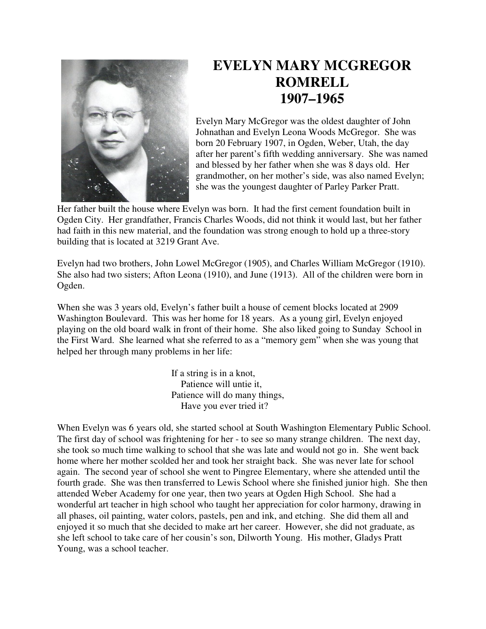

## **EVELYN MARY MCGREGOR ROMRELL 1907–1965**

Evelyn Mary McGregor was the oldest daughter of John Johnathan and Evelyn Leona Woods McGregor. She was born 20 February 1907, in Ogden, Weber, Utah, the day after her parent's fifth wedding anniversary. She was named and blessed by her father when she was 8 days old. Her grandmother, on her mother's side, was also named Evelyn; she was the youngest daughter of Parley Parker Pratt.

Her father built the house where Evelyn was born. It had the first cement foundation built in Ogden City. Her grandfather, Francis Charles Woods, did not think it would last, but her father had faith in this new material, and the foundation was strong enough to hold up a three-story building that is located at 3219 Grant Ave.

Evelyn had two brothers, John Lowel McGregor (1905), and Charles William McGregor (1910). She also had two sisters; Afton Leona (1910), and June (1913). All of the children were born in Ogden.

When she was 3 years old, Evelyn's father built a house of cement blocks located at 2909 Washington Boulevard. This was her home for 18 years. As a young girl, Evelyn enjoyed playing on the old board walk in front of their home. She also liked going to Sunday School in the First Ward. She learned what she referred to as a "memory gem" when she was young that helped her through many problems in her life:

> If a string is in a knot, Patience will untie it, Patience will do many things, Have you ever tried it?

When Evelyn was 6 years old, she started school at South Washington Elementary Public School. The first day of school was frightening for her - to see so many strange children. The next day, she took so much time walking to school that she was late and would not go in. She went back home where her mother scolded her and took her straight back. She was never late for school again. The second year of school she went to Pingree Elementary, where she attended until the fourth grade. She was then transferred to Lewis School where she finished junior high. She then attended Weber Academy for one year, then two years at Ogden High School. She had a wonderful art teacher in high school who taught her appreciation for color harmony, drawing in all phases, oil painting, water colors, pastels, pen and ink, and etching. She did them all and enjoyed it so much that she decided to make art her career. However, she did not graduate, as she left school to take care of her cousin's son, Dilworth Young. His mother, Gladys Pratt Young, was a school teacher.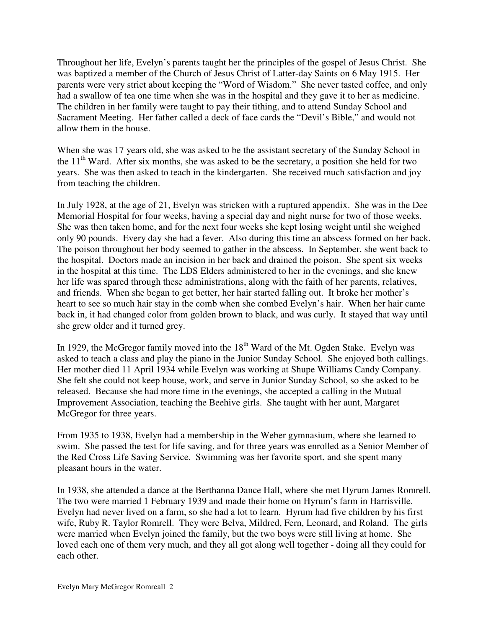Throughout her life, Evelyn's parents taught her the principles of the gospel of Jesus Christ. She was baptized a member of the Church of Jesus Christ of Latter-day Saints on 6 May 1915. Her parents were very strict about keeping the "Word of Wisdom." She never tasted coffee, and only had a swallow of tea one time when she was in the hospital and they gave it to her as medicine. The children in her family were taught to pay their tithing, and to attend Sunday School and Sacrament Meeting. Her father called a deck of face cards the "Devil's Bible," and would not allow them in the house.

When she was 17 years old, she was asked to be the assistant secretary of the Sunday School in the  $11<sup>th</sup>$  Ward. After six months, she was asked to be the secretary, a position she held for two years. She was then asked to teach in the kindergarten. She received much satisfaction and joy from teaching the children.

In July 1928, at the age of 21, Evelyn was stricken with a ruptured appendix. She was in the Dee Memorial Hospital for four weeks, having a special day and night nurse for two of those weeks. She was then taken home, and for the next four weeks she kept losing weight until she weighed only 90 pounds. Every day she had a fever. Also during this time an abscess formed on her back. The poison throughout her body seemed to gather in the abscess. In September, she went back to the hospital. Doctors made an incision in her back and drained the poison. She spent six weeks in the hospital at this time. The LDS Elders administered to her in the evenings, and she knew her life was spared through these administrations, along with the faith of her parents, relatives, and friends. When she began to get better, her hair started falling out. It broke her mother's heart to see so much hair stay in the comb when she combed Evelyn's hair. When her hair came back in, it had changed color from golden brown to black, and was curly. It stayed that way until she grew older and it turned grey.

In 1929, the McGregor family moved into the  $18<sup>th</sup>$  Ward of the Mt. Ogden Stake. Evelyn was asked to teach a class and play the piano in the Junior Sunday School. She enjoyed both callings. Her mother died 11 April 1934 while Evelyn was working at Shupe Williams Candy Company. She felt she could not keep house, work, and serve in Junior Sunday School, so she asked to be released. Because she had more time in the evenings, she accepted a calling in the Mutual Improvement Association, teaching the Beehive girls. She taught with her aunt, Margaret McGregor for three years.

From 1935 to 1938, Evelyn had a membership in the Weber gymnasium, where she learned to swim. She passed the test for life saving, and for three years was enrolled as a Senior Member of the Red Cross Life Saving Service. Swimming was her favorite sport, and she spent many pleasant hours in the water.

In 1938, she attended a dance at the Berthanna Dance Hall, where she met Hyrum James Romrell. The two were married 1 February 1939 and made their home on Hyrum's farm in Harrisville. Evelyn had never lived on a farm, so she had a lot to learn. Hyrum had five children by his first wife, Ruby R. Taylor Romrell. They were Belva, Mildred, Fern, Leonard, and Roland. The girls were married when Evelyn joined the family, but the two boys were still living at home. She loved each one of them very much, and they all got along well together - doing all they could for each other.